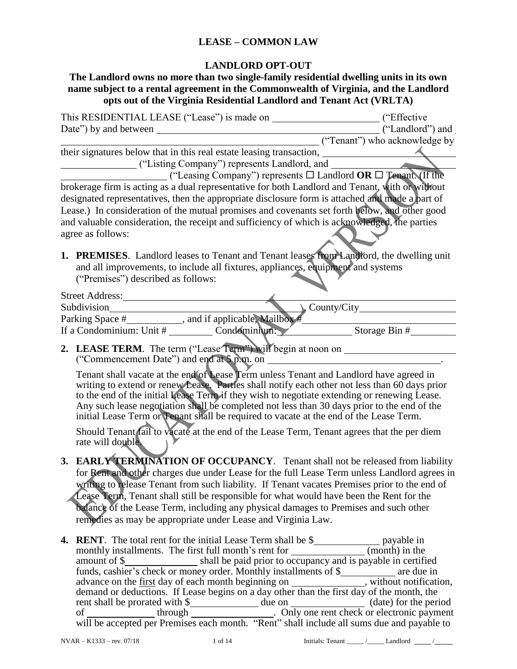## **LEASE – COMMON LAW**

## **LANDLORD OPT-OUT**

### **The Landlord owns no more than two single-family residential dwelling units in its own name subject to a rental agreement in the Commonwealth of Virginia, and the Landlord opts out of the Virginia Residential Landlord and Tenant Act (VRLTA)**

| ("Listing Company") represents Landlord, and                                                                                                                                                                                                                                                                                                                                                                                                                                                                                       |                                         |  |  |
|------------------------------------------------------------------------------------------------------------------------------------------------------------------------------------------------------------------------------------------------------------------------------------------------------------------------------------------------------------------------------------------------------------------------------------------------------------------------------------------------------------------------------------|-----------------------------------------|--|--|
| ("Leasing Company") represents $\square$ Landlord <b>OR</b> $\square$ Tenant. (If the                                                                                                                                                                                                                                                                                                                                                                                                                                              |                                         |  |  |
| brokerage firm is acting as a dual representative for both Landlord and Tenant, with or without<br>designated representatives, then the appropriate disclosure form is attached and made a part of                                                                                                                                                                                                                                                                                                                                 |                                         |  |  |
| Lease.) In consideration of the mutual promises and covenants set forth below, and other good                                                                                                                                                                                                                                                                                                                                                                                                                                      |                                         |  |  |
| and valuable consideration, the receipt and sufficiency of which is acknowledged, the parties                                                                                                                                                                                                                                                                                                                                                                                                                                      |                                         |  |  |
| agree as follows:                                                                                                                                                                                                                                                                                                                                                                                                                                                                                                                  |                                         |  |  |
|                                                                                                                                                                                                                                                                                                                                                                                                                                                                                                                                    |                                         |  |  |
| 1. PREMISES. Landlord leases to Tenant and Tenant leases from Landlord, the dwelling unit                                                                                                                                                                                                                                                                                                                                                                                                                                          |                                         |  |  |
| and all improvements, to include all fixtures, appliances, equipment and systems                                                                                                                                                                                                                                                                                                                                                                                                                                                   |                                         |  |  |
| ("Premises") described as follows:                                                                                                                                                                                                                                                                                                                                                                                                                                                                                                 |                                         |  |  |
| Street Address:                                                                                                                                                                                                                                                                                                                                                                                                                                                                                                                    |                                         |  |  |
|                                                                                                                                                                                                                                                                                                                                                                                                                                                                                                                                    | $\qquad \qquad \triangle$ , County/City |  |  |
| Parking Space #____________, and if applicable, Mailbox #________                                                                                                                                                                                                                                                                                                                                                                                                                                                                  |                                         |  |  |
|                                                                                                                                                                                                                                                                                                                                                                                                                                                                                                                                    |                                         |  |  |
| 2. LEASE TERM. The term ("Lease Term") will begin at noon on ___________________                                                                                                                                                                                                                                                                                                                                                                                                                                                   |                                         |  |  |
|                                                                                                                                                                                                                                                                                                                                                                                                                                                                                                                                    |                                         |  |  |
| Tenant shall vacate at the end of Lease Term unless Tenant and Landlord have agreed in<br>writing to extend or renew Lease. Parties shall notify each other not less than 60 days prior<br>to the end of the initial Lease Term if they wish to negotiate extending or renewing Lease.<br>Any such lease negotiation shall be completed not less than 30 days prior to the end of the<br>initial Lease Term or Tenant shall be required to vacate at the end of the Lease Term.                                                    |                                         |  |  |
| Should Tenant fail to vacate at the end of the Lease Term, Tenant agrees that the per diem<br>rate will double.                                                                                                                                                                                                                                                                                                                                                                                                                    |                                         |  |  |
| 3. EARLY TERMINATION OF OCCUPANCY. Tenant shall not be released from liability<br>for Rent and other charges due under Lease for the full Lease Term unless Landlord agrees in<br>writing to release Tenant from such liability. If Tenant vacates Premises prior to the end of<br>Lease Term, Tenant shall still be responsible for what would have been the Rent for the<br>balance of the Lease Term, including any physical damages to Premises and such other<br>remedies as may be appropriate under Lease and Virginia Law. |                                         |  |  |
|                                                                                                                                                                                                                                                                                                                                                                                                                                                                                                                                    |                                         |  |  |

will be accepted per Premises each month. "Rent" shall include all sums due and payable to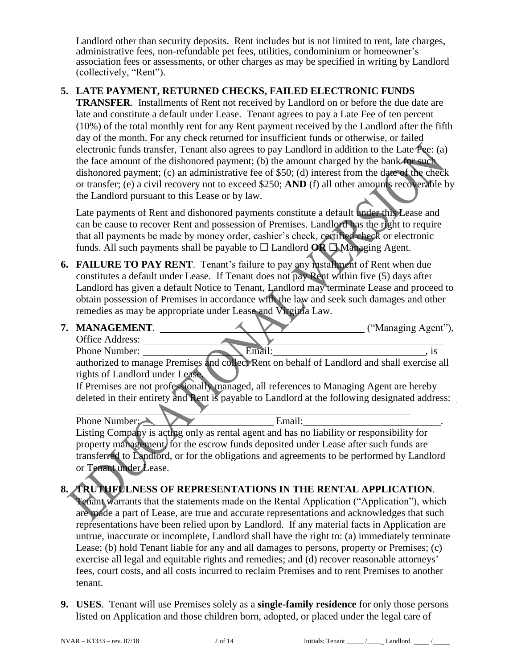Landlord other than security deposits. Rent includes but is not limited to rent, late charges, administrative fees, non-refundable pet fees, utilities, condominium or homeowner's association fees or assessments, or other charges as may be specified in writing by Landlord (collectively, "Rent").

## **5. LATE PAYMENT, RETURNED CHECKS, FAILED ELECTRONIC FUNDS**

**TRANSFER**. Installments of Rent not received by Landlord on or before the due date are late and constitute a default under Lease. Tenant agrees to pay a Late Fee of ten percent (10%) of the total monthly rent for any Rent payment received by the Landlord after the fifth day of the month. For any check returned for insufficient funds or otherwise, or failed electronic funds transfer, Tenant also agrees to pay Landlord in addition to the Late  $\overline{f}$ ee: (a) the face amount of the dishonored payment; (b) the amount charged by the bank for such dishonored payment; (c) an administrative fee of \$50; (d) interest from the date of the check or transfer; (e) a civil recovery not to exceed \$250; **AND** (f) all other amounts recoverable by the Landlord pursuant to this Lease or by law.

Late payments of Rent and dishonored payments constitute a default under this Lease and can be cause to recover Rent and possession of Premises. Landlord has the right to require that all payments be made by money order, cashier's check, certified check or electronic funds. All such payments shall be payable to  $\square$  Landlord **OR**  $\square$  Managing Agent.

**6. FAILURE TO PAY RENT**. Tenant's failure to pay any installment of Rent when due constitutes a default under Lease. If Tenant does not pay Rent within five (5) days after Landlord has given a default Notice to Tenant, Landlord may terminate Lease and proceed to obtain possession of Premises in accordance with the law and seek such damages and other remedies as may be appropriate under Lease and Virginia Law.

| 7. | <b>MANAGEMENT.</b>              |                                                                                         |        | ("Managing Agent"),                                                                            |
|----|---------------------------------|-----------------------------------------------------------------------------------------|--------|------------------------------------------------------------------------------------------------|
|    | <b>Office Address:</b>          |                                                                                         |        |                                                                                                |
|    | Phone Number:                   |                                                                                         | Email: |                                                                                                |
|    |                                 |                                                                                         |        | authorized to manage Premises and collect Rent on behalf of Landlord and shall exercise all    |
|    | rights of Landlord under Lease. |                                                                                         |        |                                                                                                |
|    |                                 | If Premises are not professionally managed, all references to Managing Agent are hereby |        |                                                                                                |
|    |                                 |                                                                                         |        | deleted in their entirety and Rent is payable to Landlord at the following designated address: |
|    |                                 |                                                                                         |        |                                                                                                |
|    | Phone Number:                   |                                                                                         | Email: |                                                                                                |
|    |                                 |                                                                                         |        | Listing Company is acting only as rental agent and has no liability or responsibility for      |

property management, for the escrow funds deposited under Lease after such funds are transferred to Landlord, or for the obligations and agreements to be performed by Landlord or Tenant under Lease.

### **8. TRUTHFULNESS OF REPRESENTATIONS IN THE RENTAL APPLICATION**.

Tenant warrants that the statements made on the Rental Application ("Application"), which are made a part of Lease, are true and accurate representations and acknowledges that such representations have been relied upon by Landlord. If any material facts in Application are untrue, inaccurate or incomplete, Landlord shall have the right to: (a) immediately terminate Lease; (b) hold Tenant liable for any and all damages to persons, property or Premises; (c) exercise all legal and equitable rights and remedies; and (d) recover reasonable attorneys' fees, court costs, and all costs incurred to reclaim Premises and to rent Premises to another tenant.

**9. USES**. Tenant will use Premises solely as a **single-family residence** for only those persons listed on Application and those children born, adopted, or placed under the legal care of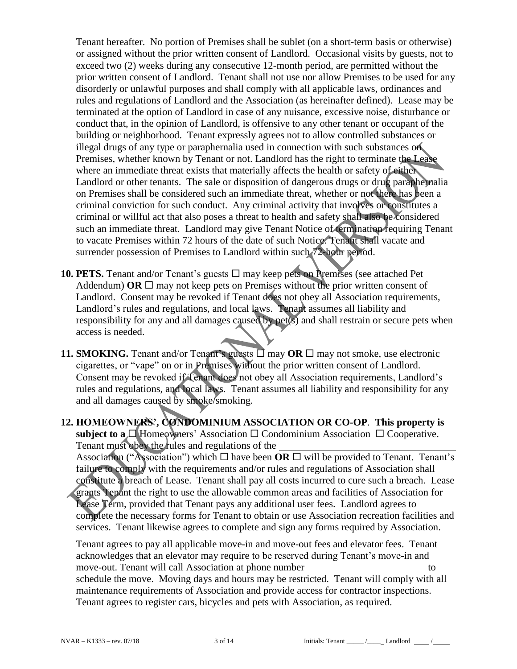Tenant hereafter. No portion of Premises shall be sublet (on a short-term basis or otherwise) or assigned without the prior written consent of Landlord. Occasional visits by guests, not to exceed two (2) weeks during any consecutive 12-month period, are permitted without the prior written consent of Landlord. Tenant shall not use nor allow Premises to be used for any disorderly or unlawful purposes and shall comply with all applicable laws, ordinances and rules and regulations of Landlord and the Association (as hereinafter defined). Lease may be terminated at the option of Landlord in case of any nuisance, excessive noise, disturbance or conduct that, in the opinion of Landlord, is offensive to any other tenant or occupant of the building or neighborhood. Tenant expressly agrees not to allow controlled substances or illegal drugs of any type or paraphernalia used in connection with such substances on Premises, whether known by Tenant or not. Landlord has the right to terminate the Lease where an immediate threat exists that materially affects the health or safety of either Landlord or other tenants. The sale or disposition of dangerous drugs or drug paraphernalia on Premises shall be considered such an immediate threat, whether or not there has been a criminal conviction for such conduct. Any criminal activity that involves or constitutes a criminal or willful act that also poses a threat to health and safety shall also be considered such an immediate threat. Landlord may give Tenant Notice of termination requiring Tenant to vacate Premises within 72 hours of the date of such Notice. Tenant shall vacate and surrender possession of Premises to Landlord within such 72-hour period.

- **10. PETS.** Tenant and/or Tenant's guests  $\Box$  may keep pets on Premises (see attached Pet Addendum) **OR**  $\Box$  may not keep pets on Premises without the prior written consent of Landlord. Consent may be revoked if Tenant does not obey all Association requirements, Landlord's rules and regulations, and local laws. Tenant assumes all liability and responsibility for any and all damages caused by pet(s) and shall restrain or secure pets when access is needed.
- **11. SMOKING.** Tenant and/or Tenant's guests  $\Box$  may **OR**  $\Box$  may not smoke, use electronic cigarettes, or "vape" on or in Premises without the prior written consent of Landlord. Consent may be revoked if Tenant does not obey all Association requirements, Landlord's rules and regulations, and local laws. Tenant assumes all liability and responsibility for any and all damages caused by smoke/smoking.
- **12. HOMEOWNERS', CONDOMINIUM ASSOCIATION OR CO-OP**. **This property is subject to a**  $\Box$  Homeowners' Association  $\Box$  Condominium Association  $\Box$  Cooperative. Tenant must obey the rules and regulations of the

Association ("Association") which  $\Box$  have been **OR**  $\Box$  will be provided to Tenant. Tenant's failure to comply with the requirements and/or rules and regulations of Association shall constitute a breach of Lease. Tenant shall pay all costs incurred to cure such a breach. Lease grants Tenant the right to use the allowable common areas and facilities of Association for Lease Term, provided that Tenant pays any additional user fees. Landlord agrees to complete the necessary forms for Tenant to obtain or use Association recreation facilities and services. Tenant likewise agrees to complete and sign any forms required by Association.

Tenant agrees to pay all applicable move-in and move-out fees and elevator fees. Tenant acknowledges that an elevator may require to be reserved during Tenant's move-in and move-out. Tenant will call Association at phone number to schedule the move. Moving days and hours may be restricted. Tenant will comply with all maintenance requirements of Association and provide access for contractor inspections. Tenant agrees to register cars, bicycles and pets with Association, as required.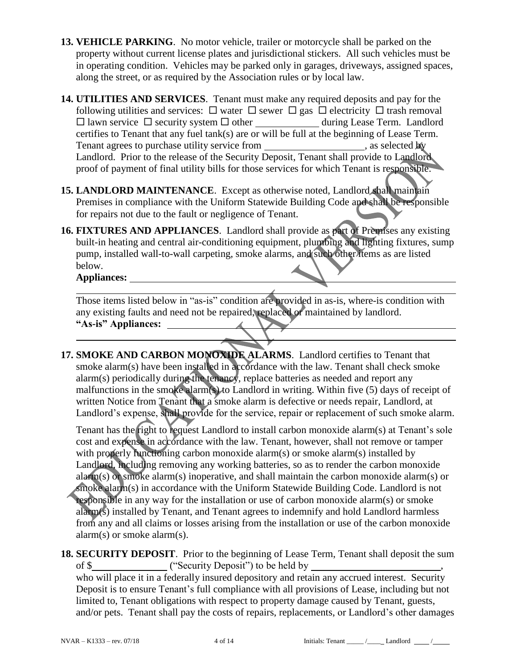- **13. VEHICLE PARKING**. No motor vehicle, trailer or motorcycle shall be parked on the property without current license plates and jurisdictional stickers. All such vehicles must be in operating condition. Vehicles may be parked only in garages, driveways, assigned spaces, along the street, or as required by the Association rules or by local law.
- **14. UTILITIES AND SERVICES**. Tenant must make any required deposits and pay for the following utilities and services:  $\Box$  water  $\Box$  sewer  $\Box$  gas  $\Box$  electricity  $\Box$  trash removal  $\Box$  lawn service  $\Box$  security system  $\Box$  other during Lease Term. Landlord certifies to Tenant that any fuel tank(s) are or will be full at the beginning of Lease Term. Tenant agrees to purchase utility service from \_\_\_\_\_\_\_\_\_\_\_\_\_\_\_\_\_\_\_\_\_\_\_\_, as selected by Landlord. Prior to the release of the Security Deposit, Tenant shall provide to Landlord. proof of payment of final utility bills for those services for which Tenant is responsible.
- **15. LANDLORD MAINTENANCE**. Except as otherwise noted, Landlord shall maintain Premises in compliance with the Uniform Statewide Building Code and shall be responsible for repairs not due to the fault or negligence of Tenant.
- **16. FIXTURES AND APPLIANCES**. Landlord shall provide as part of Premises any existing built-in heating and central air-conditioning equipment, plumbing and lighting fixtures, sump pump, installed wall-to-wall carpeting, smoke alarms, and such other items as are listed below.

#### **Appliances:**

Those items listed below in "as-is" condition are provided in as-is, where-is condition with any existing faults and need not be repaired, replaced or maintained by landlord. **"As-is" Appliances:** 

**17. SMOKE AND CARBON MONOXIDE ALARMS**. Landlord certifies to Tenant that smoke alarm(s) have been installed in accordance with the law. Tenant shall check smoke alarm(s) periodically during the tenancy, replace batteries as needed and report any malfunctions in the smoke alarm(s) to Landlord in writing. Within five (5) days of receipt of written Notice from Tenant that a smoke alarm is defective or needs repair, Landlord, at Landlord's expense, shall provide for the service, repair or replacement of such smoke alarm.

Tenant has the right to request Landlord to install carbon monoxide alarm(s) at Tenant's sole cost and expense in accordance with the law. Tenant, however, shall not remove or tamper with properly functioning carbon monoxide alarm(s) or smoke alarm(s) installed by Landlord, including removing any working batteries, so as to render the carbon monoxide alarm(s) or smoke alarm(s) inoperative, and shall maintain the carbon monoxide alarm(s) or smoke alarm(s) in accordance with the Uniform Statewide Building Code. Landlord is not responsible in any way for the installation or use of carbon monoxide alarm(s) or smoke alarm(s) installed by Tenant, and Tenant agrees to indemnify and hold Landlord harmless from any and all claims or losses arising from the installation or use of the carbon monoxide alarm(s) or smoke alarm(s).

**18. SECURITY DEPOSIT**. Prior to the beginning of Lease Term, Tenant shall deposit the sum of \$

who will place it in a federally insured depository and retain any accrued interest. Security Deposit is to ensure Tenant's full compliance with all provisions of Lease, including but not limited to, Tenant obligations with respect to property damage caused by Tenant, guests, and/or pets. Tenant shall pay the costs of repairs, replacements, or Landlord's other damages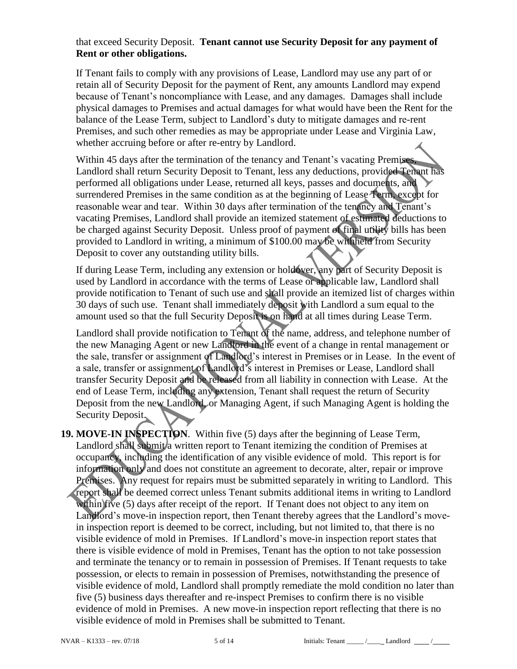#### that exceed Security Deposit. **Tenant cannot use Security Deposit for any payment of Rent or other obligations.**

If Tenant fails to comply with any provisions of Lease, Landlord may use any part of or retain all of Security Deposit for the payment of Rent, any amounts Landlord may expend because of Tenant's noncompliance with Lease, and any damages. Damages shall include physical damages to Premises and actual damages for what would have been the Rent for the balance of the Lease Term, subject to Landlord's duty to mitigate damages and re-rent Premises, and such other remedies as may be appropriate under Lease and Virginia Law, whether accruing before or after re-entry by Landlord.

Within 45 days after the termination of the tenancy and Tenant's vacating Premises. Landlord shall return Security Deposit to Tenant, less any deductions, provided Tenant has performed all obligations under Lease, returned all keys, passes and documents, and surrendered Premises in the same condition as at the beginning of Lease Term, except for reasonable wear and tear. Within 30 days after termination of the tenancy and Tenant's vacating Premises, Landlord shall provide an itemized statement of estimated deductions to be charged against Security Deposit. Unless proof of payment of final utility bills has been provided to Landlord in writing, a minimum of \$100.00 may be withheld from Security Deposit to cover any outstanding utility bills.

If during Lease Term, including any extension or holdover, any part of Security Deposit is used by Landlord in accordance with the terms of Lease or applicable law, Landlord shall provide notification to Tenant of such use and shall provide an itemized list of charges within 30 days of such use. Tenant shall immediately deposit with Landlord a sum equal to the amount used so that the full Security Deposit is on hand at all times during Lease Term.

Landlord shall provide notification to Tenant of the name, address, and telephone number of the new Managing Agent or new Landlord in the event of a change in rental management or the sale, transfer or assignment of Landlord's interest in Premises or in Lease. In the event of a sale, transfer or assignment of Landlord's interest in Premises or Lease, Landlord shall transfer Security Deposit and be released from all liability in connection with Lease. At the end of Lease Term, including any extension, Tenant shall request the return of Security Deposit from the new Landlord, or Managing Agent, if such Managing Agent is holding the Security Deposit.

**19. MOVE-IN INSPECTION**. Within five (5) days after the beginning of Lease Term, Landlord shall submit a written report to Tenant itemizing the condition of Premises at occupancy, including the identification of any visible evidence of mold. This report is for information only and does not constitute an agreement to decorate, alter, repair or improve Premises. Any request for repairs must be submitted separately in writing to Landlord. This report shall be deemed correct unless Tenant submits additional items in writing to Landlord within five (5) days after receipt of the report. If Tenant does not object to any item on Landlord's move-in inspection report, then Tenant thereby agrees that the Landlord's movein inspection report is deemed to be correct, including, but not limited to, that there is no visible evidence of mold in Premises. If Landlord's move-in inspection report states that there is visible evidence of mold in Premises, Tenant has the option to not take possession and terminate the tenancy or to remain in possession of Premises. If Tenant requests to take possession, or elects to remain in possession of Premises, notwithstanding the presence of visible evidence of mold, Landlord shall promptly remediate the mold condition no later than five (5) business days thereafter and re-inspect Premises to confirm there is no visible evidence of mold in Premises. A new move-in inspection report reflecting that there is no visible evidence of mold in Premises shall be submitted to Tenant.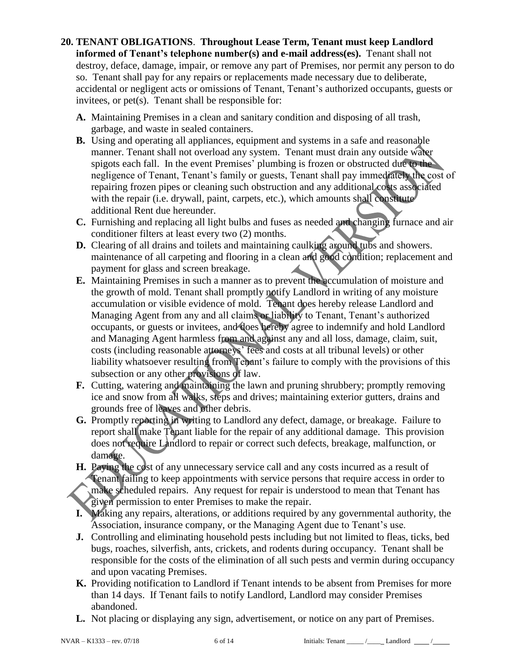### **20. TENANT OBLIGATIONS**. **Throughout Lease Term, Tenant must keep Landlord informed of Tenant's telephone number(s) and e-mail address(es).** Tenant shall not destroy, deface, damage, impair, or remove any part of Premises, nor permit any person to do so. Tenant shall pay for any repairs or replacements made necessary due to deliberate, accidental or negligent acts or omissions of Tenant, Tenant's authorized occupants, guests or invitees, or pet(s). Tenant shall be responsible for:

- **A.** Maintaining Premises in a clean and sanitary condition and disposing of all trash, garbage, and waste in sealed containers.
- **B.** Using and operating all appliances, equipment and systems in a safe and reasonable manner. Tenant shall not overload any system. Tenant must drain any outside water spigots each fall. In the event Premises' plumbing is frozen or obstructed due to the negligence of Tenant, Tenant's family or guests, Tenant shall pay immediately the cost of repairing frozen pipes or cleaning such obstruction and any additional costs associated with the repair (i.e. drywall, paint, carpets, etc.), which amounts shall constitute additional Rent due hereunder.
- **C.** Furnishing and replacing all light bulbs and fuses as needed and changing furnace and air conditioner filters at least every two (2) months.
- **D.** Clearing of all drains and toilets and maintaining caulking around tubs and showers. maintenance of all carpeting and flooring in a clean and good condition; replacement and payment for glass and screen breakage.
- **E.** Maintaining Premises in such a manner as to prevent the accumulation of moisture and the growth of mold. Tenant shall promptly notify Landlord in writing of any moisture accumulation or visible evidence of mold. Tenant does hereby release Landlord and Managing Agent from any and all claims or liability to Tenant, Tenant's authorized occupants, or guests or invitees, and does hereby agree to indemnify and hold Landlord and Managing Agent harmless from and against any and all loss, damage, claim, suit, costs (including reasonable attorneys' fees and costs at all tribunal levels) or other liability whatsoever resulting from Tenant's failure to comply with the provisions of this subsection or any other provisions of law.
- **F.** Cutting, watering and maintaining the lawn and pruning shrubbery; promptly removing ice and snow from all walks, steps and drives; maintaining exterior gutters, drains and grounds free of leaves and other debris.
- **G.** Promptly reporting in writing to Landlord any defect, damage, or breakage. Failure to report shall make Tenant liable for the repair of any additional damage. This provision does not require Landlord to repair or correct such defects, breakage, malfunction, or damage.
- **H.** Paying the cost of any unnecessary service call and any costs incurred as a result of Tenant failing to keep appointments with service persons that require access in order to make scheduled repairs. Any request for repair is understood to mean that Tenant has given permission to enter Premises to make the repair.
- **I.** Making any repairs, alterations, or additions required by any governmental authority, the Association, insurance company, or the Managing Agent due to Tenant's use.
- **J.** Controlling and eliminating household pests including but not limited to fleas, ticks, bed bugs, roaches, silverfish, ants, crickets, and rodents during occupancy. Tenant shall be responsible for the costs of the elimination of all such pests and vermin during occupancy and upon vacating Premises.
- **K.** Providing notification to Landlord if Tenant intends to be absent from Premises for more than 14 days. If Tenant fails to notify Landlord, Landlord may consider Premises abandoned.
- **L.** Not placing or displaying any sign, advertisement, or notice on any part of Premises.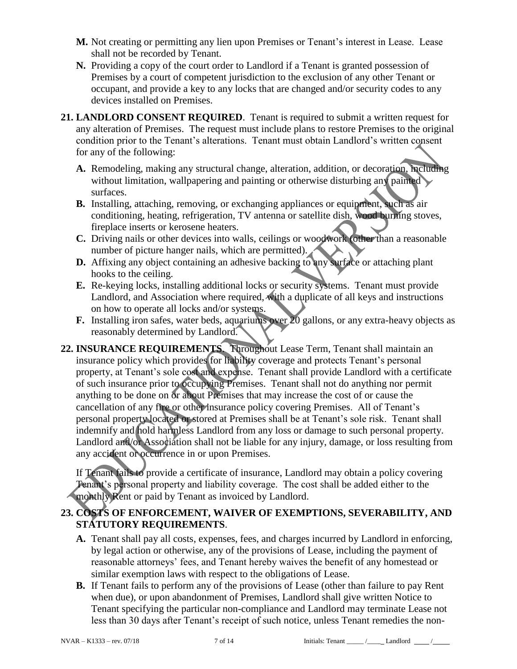- **M.** Not creating or permitting any lien upon Premises or Tenant's interest in Lease. Lease shall not be recorded by Tenant.
- **N.** Providing a copy of the court order to Landlord if a Tenant is granted possession of Premises by a court of competent jurisdiction to the exclusion of any other Tenant or occupant, and provide a key to any locks that are changed and/or security codes to any devices installed on Premises.
- **21. LANDLORD CONSENT REQUIRED**. Tenant is required to submit a written request for any alteration of Premises. The request must include plans to restore Premises to the original condition prior to the Tenant's alterations. Tenant must obtain Landlord's written consent for any of the following:
	- **A.** Remodeling, making any structural change, alteration, addition, or decoration, including without limitation, wallpapering and painting or otherwise disturbing any painted surfaces.
	- **B.** Installing, attaching, removing, or exchanging appliances or equipment, such as air conditioning, heating, refrigeration, TV antenna or satellite dish, wood burning stoves, fireplace inserts or kerosene heaters.
	- **C.** Driving nails or other devices into walls, ceilings or woodwork (other than a reasonable number of picture hanger nails, which are permitted).
	- **D.** Affixing any object containing an adhesive backing to any surface or attaching plant hooks to the ceiling.
	- **E.** Re-keying locks, installing additional locks or security systems. Tenant must provide Landlord, and Association where required, with a duplicate of all keys and instructions on how to operate all locks and/or systems.
	- **F.** Installing iron safes, water beds, aquariums over 20 gallons, or any extra-heavy objects as reasonably determined by Landlord.
- **22. INSURANCE REQUIREMENTS**. Throughout Lease Term, Tenant shall maintain an insurance policy which provides for liability coverage and protects Tenant's personal property, at Tenant's sole cost and expense. Tenant shall provide Landlord with a certificate of such insurance prior to occupying Premises. Tenant shall not do anything nor permit anything to be done on or about Premises that may increase the cost of or cause the cancellation of any fire or other insurance policy covering Premises. All of Tenant's personal property located or stored at Premises shall be at Tenant's sole risk. Tenant shall indemnify and hold harmless Landlord from any loss or damage to such personal property. Landlord and/or Association shall not be liable for any injury, damage, or loss resulting from any accident or occurrence in or upon Premises.

If Tenant fails to provide a certificate of insurance, Landlord may obtain a policy covering Tenant's personal property and liability coverage. The cost shall be added either to the monthly Rent or paid by Tenant as invoiced by Landlord.

## **23. COSTS OF ENFORCEMENT, WAIVER OF EXEMPTIONS, SEVERABILITY, AND STATUTORY REQUIREMENTS**.

- **A.** Tenant shall pay all costs, expenses, fees, and charges incurred by Landlord in enforcing, by legal action or otherwise, any of the provisions of Lease, including the payment of reasonable attorneys' fees, and Tenant hereby waives the benefit of any homestead or similar exemption laws with respect to the obligations of Lease.
- **B.** If Tenant fails to perform any of the provisions of Lease (other than failure to pay Rent when due), or upon abandonment of Premises, Landlord shall give written Notice to Tenant specifying the particular non-compliance and Landlord may terminate Lease not less than 30 days after Tenant's receipt of such notice, unless Tenant remedies the non-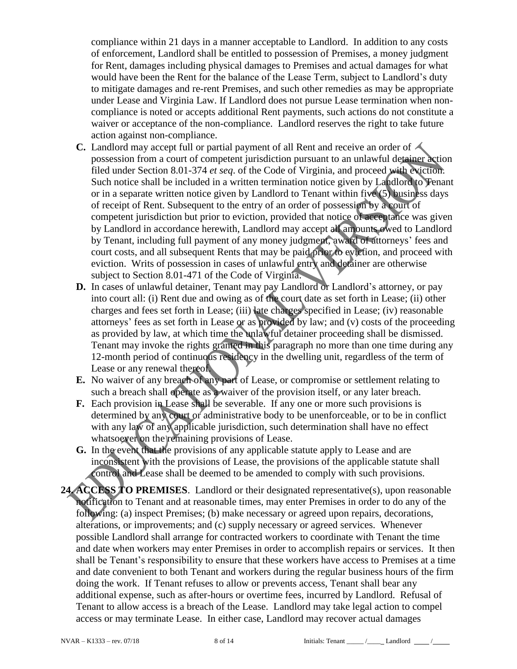compliance within 21 days in a manner acceptable to Landlord. In addition to any costs of enforcement, Landlord shall be entitled to possession of Premises, a money judgment for Rent, damages including physical damages to Premises and actual damages for what would have been the Rent for the balance of the Lease Term, subject to Landlord's duty to mitigate damages and re-rent Premises, and such other remedies as may be appropriate under Lease and Virginia Law. If Landlord does not pursue Lease termination when noncompliance is noted or accepts additional Rent payments, such actions do not constitute a waiver or acceptance of the non-compliance. Landlord reserves the right to take future action against non-compliance.

- **C.** Landlord may accept full or partial payment of all Rent and receive an order of possession from a court of competent jurisdiction pursuant to an unlawful detainer action filed under Section 8.01-374 *et seq*. of the Code of Virginia, and proceed with eviction. Such notice shall be included in a written termination notice given by Landlord to Tenant or in a separate written notice given by Landlord to Tenant within five (5) business days of receipt of Rent. Subsequent to the entry of an order of possession by a court of competent jurisdiction but prior to eviction, provided that notice of acceptance was given by Landlord in accordance herewith, Landlord may accept all amounts owed to Landlord by Tenant, including full payment of any money judgment, award of attorneys' fees and court costs, and all subsequent Rents that may be paid prior to eviction, and proceed with eviction. Writs of possession in cases of unlawful entry and detainer are otherwise subject to Section [8.01-471](http://law.lis.virginia.gov/vacode/8.01-471/) of the Code of Virginia.
- **D.** In cases of unlawful detainer, Tenant may pay Landlord or Landlord's attorney, or pay into court all: (i) Rent due and owing as of the court date as set forth in Lease; (ii) other charges and fees set forth in Lease; (iii) late charges specified in Lease; (iv) reasonable attorneys' fees as set forth in Lease or as provided by law; and (v) costs of the proceeding as provided by law, at which time the unlawful detainer proceeding shall be dismissed. Tenant may invoke the rights granted in this paragraph no more than one time during any 12-month period of continuous residency in the dwelling unit, regardless of the term of Lease or any renewal thereof.
- **E.** No waiver of any breach of any part of Lease, or compromise or settlement relating to such a breach shall operate as a waiver of the provision itself, or any later breach.
- **F.** Each provision in Lease shall be severable. If any one or more such provisions is determined by any court or administrative body to be unenforceable, or to be in conflict with any law of any applicable jurisdiction, such determination shall have no effect whatsoever on the remaining provisions of Lease.
- **G.** In the event that the provisions of any applicable statute apply to Lease and are inconsistent with the provisions of Lease, the provisions of the applicable statute shall control and Lease shall be deemed to be amended to comply with such provisions.
- **24. ACCESS TO PREMISES**. Landlord or their designated representative(s), upon reasonable notification to Tenant and at reasonable times, may enter Premises in order to do any of the following: (a) inspect Premises; (b) make necessary or agreed upon repairs, decorations, alterations, or improvements; and (c) supply necessary or agreed services. Whenever possible Landlord shall arrange for contracted workers to coordinate with Tenant the time and date when workers may enter Premises in order to accomplish repairs or services. It then shall be Tenant's responsibility to ensure that these workers have access to Premises at a time and date convenient to both Tenant and workers during the regular business hours of the firm doing the work. If Tenant refuses to allow or prevents access, Tenant shall bear any additional expense, such as after-hours or overtime fees, incurred by Landlord. Refusal of Tenant to allow access is a breach of the Lease. Landlord may take legal action to compel access or may terminate Lease. In either case, Landlord may recover actual damages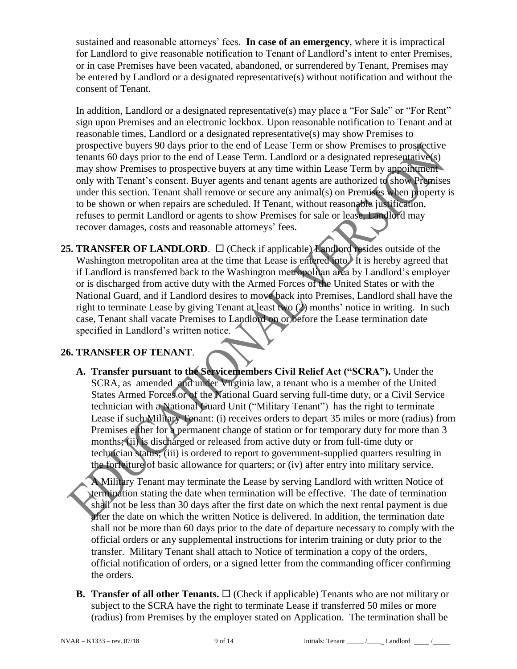sustained and reasonable attorneys' fees. **In case of an emergency**, where it is impractical for Landlord to give reasonable notification to Tenant of Landlord's intent to enter Premises, or in case Premises have been vacated, abandoned, or surrendered by Tenant, Premises may be entered by Landlord or a designated representative(s) without notification and without the consent of Tenant.

In addition, Landlord or a designated representative(s) may place a "For Sale" or "For Rent" sign upon Premises and an electronic lockbox. Upon reasonable notification to Tenant and at reasonable times, Landlord or a designated representative(s) may show Premises to prospective buyers 90 days prior to the end of Lease Term or show Premises to prospective tenants 60 days prior to the end of Lease Term. Landlord or a designated representative(s) may show Premises to prospective buyers at any time within Lease Term by appointment only with Tenant's consent. Buyer agents and tenant agents are authorized to show Premises under this section. Tenant shall remove or secure any animal(s) on Premises when property is to be shown or when repairs are scheduled. If Tenant, without reasonable justification, refuses to permit Landlord or agents to show Premises for sale or lease, Landlord may recover damages, costs and reasonable attorneys' fees.

**25. <b>TRANSFER OF LANDLORD**.  $\Box$  (Check if applicable) Landlord resides outside of the Washington metropolitan area at the time that Lease is entered into. It is hereby agreed that if Landlord is transferred back to the Washington metropolitan area by Landlord's employer or is discharged from active duty with the Armed Forces of the United States or with the National Guard, and if Landlord desires to move back into Premises, Landlord shall have the right to terminate Lease by giving Tenant at least two (2) months' notice in writing. In such case, Tenant shall vacate Premises to Landlord on or before the Lease termination date specified in Landlord's written notice.

## **26. TRANSFER OF TENANT**.

**A. Transfer pursuant to the Servicemembers Civil Relief Act ("SCRA").** Under the SCRA, as amended and under Virginia law, a tenant who is a member of the United States Armed Forces or of the National Guard serving full-time duty, or a Civil Service technician with a National Guard Unit ("Military Tenant") has the right to terminate Lease if such Military Tenant: (i) receives orders to depart 35 miles or more (radius) from Premises either for a permanent change of station or for temporary duty for more than 3 months; (ii) is discharged or released from active duty or from full-time duty or technician status; (iii) is ordered to report to government-supplied quarters resulting in the forfeiture of basic allowance for quarters; or (iv) after entry into military service.

A Military Tenant may terminate the Lease by serving Landlord with written Notice of termination stating the date when termination will be effective. The date of termination shall not be less than 30 days after the first date on which the next rental payment is due after the date on which the written Notice is delivered. In addition, the termination date shall not be more than 60 days prior to the date of departure necessary to comply with the official orders or any supplemental instructions for interim training or duty prior to the transfer. Military Tenant shall attach to Notice of termination a copy of the orders, official notification of orders, or a signed letter from the commanding officer confirming the orders.

**B. Transfer of all other Tenants.**  $\Box$  (Check if applicable) Tenants who are not military or subject to the SCRA have the right to terminate Lease if transferred 50 miles or more (radius) from Premises by the employer stated on Application. The termination shall be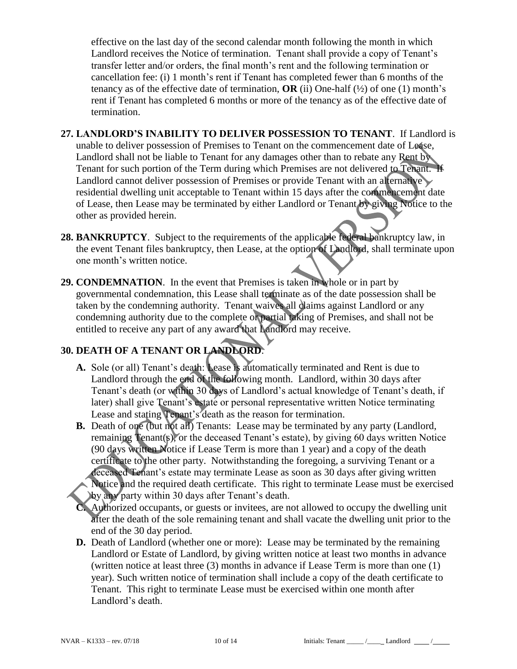effective on the last day of the second calendar month following the month in which Landlord receives the Notice of termination. Tenant shall provide a copy of Tenant's transfer letter and/or orders, the final month's rent and the following termination or cancellation fee: (i) 1 month's rent if Tenant has completed fewer than 6 months of the tenancy as of the effective date of termination, **OR** (ii) One-half  $(\frac{1}{2})$  of one (1) month's rent if Tenant has completed 6 months or more of the tenancy as of the effective date of termination.

- **27. LANDLORD'S INABILITY TO DELIVER POSSESSION TO TENANT**. If Landlord is unable to deliver possession of Premises to Tenant on the commencement date of Lease, Landlord shall not be liable to Tenant for any damages other than to rebate any Rent by Tenant for such portion of the Term during which Premises are not delivered to Tenant. If Landlord cannot deliver possession of Premises or provide Tenant with an alternative residential dwelling unit acceptable to Tenant within 15 days after the commencement date of Lease, then Lease may be terminated by either Landlord or Tenant by giving Notice to the other as provided herein.
- **28. BANKRUPTCY**. Subject to the requirements of the applicable federal bankruptcy law, in the event Tenant files bankruptcy, then Lease, at the option of Landlord, shall terminate upon one month's written notice.
- **29. CONDEMNATION**. In the event that Premises is taken in whole or in part by governmental condemnation, this Lease shall terminate as of the date possession shall be taken by the condemning authority. Tenant waives all claims against Landlord or any condemning authority due to the complete or partial taking of Premises, and shall not be entitled to receive any part of any award that Landlord may receive.

# **30. DEATH OF A TENANT OR LANDLORD**.

- **A.** Sole (or all) Tenant's death: Lease is automatically terminated and Rent is due to Landlord through the end of the following month. Landlord, within 30 days after Tenant's death (or within 30 days of Landlord's actual knowledge of Tenant's death, if later) shall give Tenant's estate or personal representative written Notice terminating Lease and stating Tenant's death as the reason for termination.
- **B.** Death of one (but not all) Tenants: Lease may be terminated by any party (Landlord, remaining Tenant(s), or the deceased Tenant's estate), by giving 60 days written Notice (90 days written Notice if Lease Term is more than 1 year) and a copy of the death certificate to the other party. Notwithstanding the foregoing, a surviving Tenant or a deceased Tenant's estate may terminate Lease as soon as 30 days after giving written Notice and the required death certificate. This right to terminate Lease must be exercised by any party within 30 days after Tenant's death.
- **C.** Authorized occupants, or guests or invitees, are not allowed to occupy the dwelling unit after the death of the sole remaining tenant and shall vacate the dwelling unit prior to the end of the 30 day period.
- **D.** Death of Landlord (whether one or more): Lease may be terminated by the remaining Landlord or Estate of Landlord, by giving written notice at least two months in advance (written notice at least three (3) months in advance if Lease Term is more than one (1) year). Such written notice of termination shall include a copy of the death certificate to Tenant. This right to terminate Lease must be exercised within one month after Landlord's death.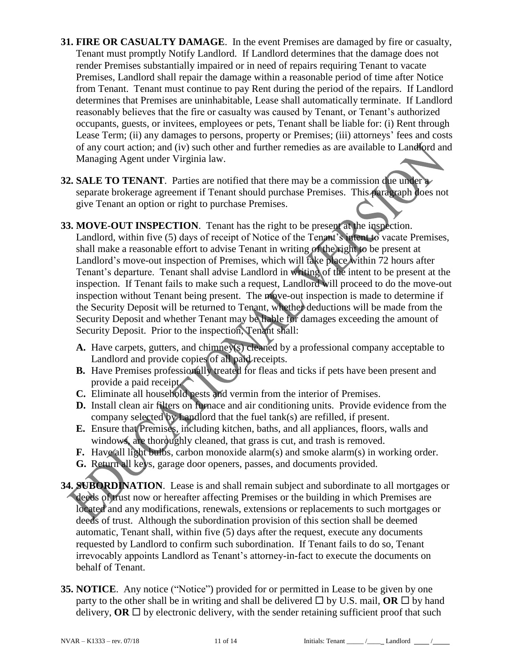- **31. FIRE OR CASUALTY DAMAGE**.In the event Premises are damaged by fire or casualty, Tenant must promptly Notify Landlord. If Landlord determines that the damage does not render Premises substantially impaired or in need of repairs requiring Tenant to vacate Premises, Landlord shall repair the damage within a reasonable period of time after Notice from Tenant. Tenant must continue to pay Rent during the period of the repairs. If Landlord determines that Premises are uninhabitable, Lease shall automatically terminate. If Landlord reasonably believes that the fire or casualty was caused by Tenant, or Tenant's authorized occupants, guests, or invitees, employees or pets, Tenant shall be liable for: (i) Rent through Lease Term; (ii) any damages to persons, property or Premises; (iii) attorneys' fees and costs of any court action; and (iv) such other and further remedies as are available to Landlord and Managing Agent under Virginia law.
- **32. SALE TO TENANT**. Parties are notified that there may be a commission due under a separate brokerage agreement if Tenant should purchase Premises. This paragraph does not give Tenant an option or right to purchase Premises.
- **33. MOVE-OUT INSPECTION**. Tenant has the right to be present at the inspection. Landlord, within five (5) days of receipt of Notice of the Tenant's intent to vacate Premises, shall make a reasonable effort to advise Tenant in writing of the right to be present at Landlord's move-out inspection of Premises, which will take place within 72 hours after Tenant's departure. Tenant shall advise Landlord in writing of the intent to be present at the inspection. If Tenant fails to make such a request, Landlord will proceed to do the move-out inspection without Tenant being present. The move-out inspection is made to determine if the Security Deposit will be returned to Tenant, whether deductions will be made from the Security Deposit and whether Tenant may be liable for damages exceeding the amount of Security Deposit. Prior to the inspection, Tenant shall:
	- **A.** Have carpets, gutters, and chimney(s) cleaned by a professional company acceptable to Landlord and provide copies of all paid receipts.
	- **B.** Have Premises professionally treated for fleas and ticks if pets have been present and provide a paid receipt.
	- **C.** Eliminate all household pests and vermin from the interior of Premises.
	- **D.** Install clean air filters on furnace and air conditioning units. Provide evidence from the company selected by Landlord that the fuel tank(s) are refilled, if present.
	- **E.** Ensure that Premises, including kitchen, baths, and all appliances, floors, walls and windows, are thoroughly cleaned, that grass is cut, and trash is removed.
	- **F.** Have all light bulbs, carbon monoxide alarm(s) and smoke alarm(s) in working order.
	- **G.** Return all keys, garage door openers, passes, and documents provided.
- **34. SUBORDINATION**. Lease is and shall remain subject and subordinate to all mortgages or deeds of trust now or hereafter affecting Premises or the building in which Premises are located and any modifications, renewals, extensions or replacements to such mortgages or deeds of trust. Although the subordination provision of this section shall be deemed automatic, Tenant shall, within five (5) days after the request, execute any documents requested by Landlord to confirm such subordination. If Tenant fails to do so, Tenant irrevocably appoints Landlord as Tenant's attorney-in-fact to execute the documents on behalf of Tenant.
- **35. NOTICE**. Any notice ("Notice") provided for or permitted in Lease to be given by one party to the other shall be in writing and shall be delivered  $\Box$  by U.S. mail, **OR**  $\Box$  by hand delivery, **OR**  $\Box$  by electronic delivery, with the sender retaining sufficient proof that such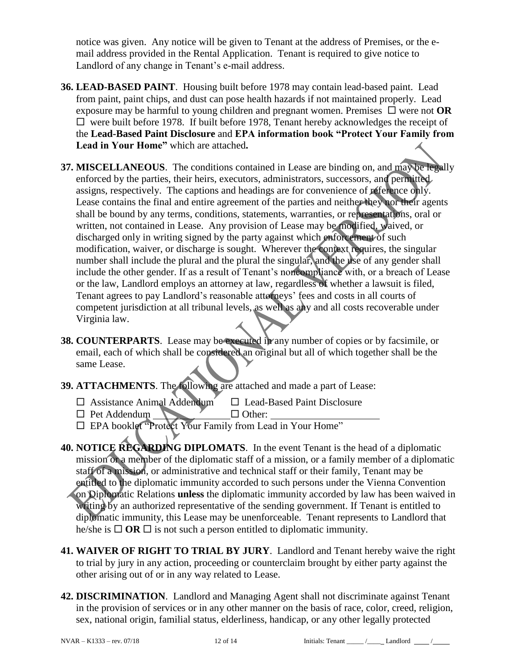notice was given. Any notice will be given to Tenant at the address of Premises, or the email address provided in the Rental Application. Tenant is required to give notice to Landlord of any change in Tenant's e-mail address.

- **36. LEAD-BASED PAINT**.Housing built before 1978 may contain lead-based paint. Lead from paint, paint chips, and dust can pose health hazards if not maintained properly. Lead exposure may be harmful to young children and pregnant women. Premises  $\Box$  were not **OR**  $\Box$  were built before 1978. If built before 1978, Tenant hereby acknowledges the receipt of the **Lead-Based Paint Disclosure** and **EPA information book "Protect Your Family from Lead in Your Home"** which are attached**.**
- **37. MISCELLANEOUS**. The conditions contained in Lease are binding on, and may be legally enforced by the parties, their heirs, executors, administrators, successors, and permitted assigns, respectively. The captions and headings are for convenience of reference only. Lease contains the final and entire agreement of the parties and neither they nor their agents shall be bound by any terms, conditions, statements, warranties, or representations, oral or written, not contained in Lease. Any provision of Lease may be modified, waived, or discharged only in writing signed by the party against which enforcement of such modification, waiver, or discharge is sought. Wherever the context requires, the singular number shall include the plural and the plural the singular, and the use of any gender shall include the other gender. If as a result of Tenant's noncompliance with, or a breach of Lease or the law, Landlord employs an attorney at law, regardless of whether a lawsuit is filed, Tenant agrees to pay Landlord's reasonable attorneys' fees and costs in all courts of competent jurisdiction at all tribunal levels, as well as any and all costs recoverable under Virginia law.
- **38. COUNTERPARTS**. Lease may be executed in any number of copies or by facsimile, or email, each of which shall be considered an original but all of which together shall be the same Lease.
- **39. ATTACHMENTS**. The following are attached and made a part of Lease:
	- $\Box$  Assistance Animal Addendum  $\Box$  Lead-Based Paint Disclosure

 $\Box$  Pet Addendum  $\Box$  Other:

EPA booklet "Protect Your Family from Lead in Your Home"

- **40. NOTICE REGARDING DIPLOMATS**. In the event Tenant is the head of a diplomatic mission or a member of the diplomatic staff of a mission, or a family member of a diplomatic staff of a mission, or administrative and technical staff or their family, Tenant may be entitled to the diplomatic immunity accorded to such persons under the Vienna Convention on Diplomatic Relations **unless** the diplomatic immunity accorded by law has been waived in writing by an authorized representative of the sending government. If Tenant is entitled to diplomatic immunity, this Lease may be unenforceable. Tenant represents to Landlord that he/she is  $\Box$  **OR**  $\Box$  is not such a person entitled to diplomatic immunity.
- **41. WAIVER OF RIGHT TO TRIAL BY JURY**. Landlord and Tenant hereby waive the right to trial by jury in any action, proceeding or counterclaim brought by either party against the other arising out of or in any way related to Lease.
- **42. DISCRIMINATION**. Landlord and Managing Agent shall not discriminate against Tenant in the provision of services or in any other manner on the basis of race, color, creed, religion, sex, national origin, familial status, elderliness, handicap, or any other legally protected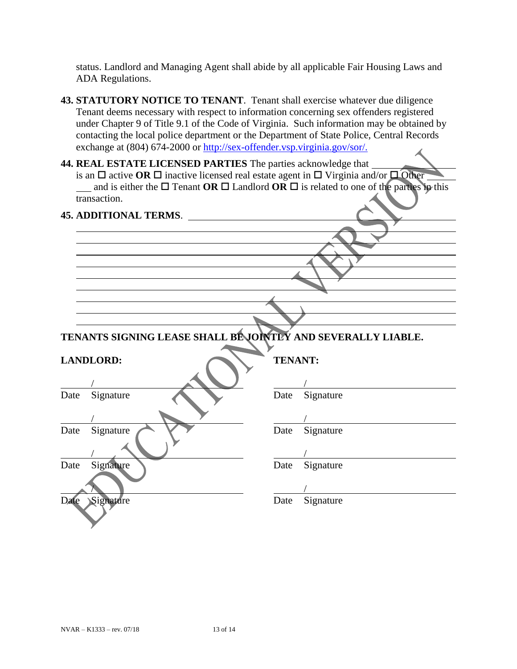status. Landlord and Managing Agent shall abide by all applicable Fair Housing Laws and ADA Regulations.

- **43. STATUTORY NOTICE TO TENANT**. Tenant shall exercise whatever due diligence Tenant deems necessary with respect to information concerning sex offenders registered under Chapter 9 of Title 9.1 of the Code of Virginia. Such information may be obtained by contacting the local police department or the Department of State Police, Central Records exchange at (804) 674-2000 or [http://sex-offender.vsp.virginia.gov/sor/.](http://sex-offender.vsp.virginia.gov/sor/)
- **44. REAL ESTATE LICENSED PARTIES** The parties acknowledge that is an  $\Box$  active OR  $\Box$  inactive licensed real estate agent in  $\Box$  Virginia and/or  $\Box$  Other and is either the  $\Box$  Tenant **OR**  $\Box$  Landlord **OR**  $\Box$  is related to one of the parties in this transaction.

**45. ADDITIONAL TERMS**.

|      |                                                             | {              |           |  |
|------|-------------------------------------------------------------|----------------|-----------|--|
|      |                                                             |                |           |  |
|      |                                                             |                |           |  |
|      | TENANTS SIGNING LEASE SHALL BEJOINTLY AND SEVERALLY LIABLE. |                |           |  |
|      | <b>LANDLORD:</b>                                            | <b>TENANT:</b> |           |  |
|      |                                                             |                |           |  |
| Date | Signature                                                   | Date           | Signature |  |
|      |                                                             |                |           |  |
| Date | Signature                                                   | Date           | Signature |  |
|      |                                                             |                |           |  |
| Date | Signature                                                   | Date           | Signature |  |
|      |                                                             |                |           |  |
| Date | Signature                                                   | Date           | Signature |  |